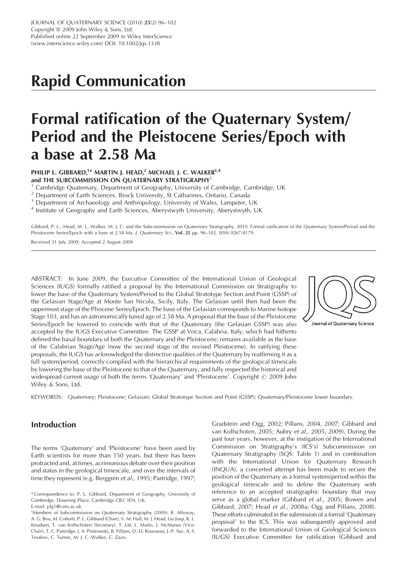# Rapid Communication

# Formal ratification of the Quaternary System/ Period and the Pleistocene Series/Epoch with a base at 2.58 Ma

PHILIP L. GIBBARD,<sup>1\*</sup> MARTIN J. HEAD,<sup>2</sup> MICHAEL J. C. WALKER<sup>3,4</sup> and THE SUBCOMMISSION ON QUATERNARY STRATIGRAPHY<sup>†</sup>

<sup>1</sup> Cambridge Quaternary, Department of Geography, University of Cambridge, Cambridge, UK

<sup>2</sup> Department of Earth Sciences, Brock University, St Catharines, Ontario, Canada

<sup>3</sup> Department of Archaeology and Anthropology, University of Wales, Lampeter, UK

<sup>4</sup> Institute of Geography and Earth Sciences, Aberystwyth University, Aberystwyth, UK

Gibbard, P. L., Head, M. J., Walker, M. J. C. and the Subcommission on Quaternary Stratigraphy. 2010. Formal ratification of the Quaternary System/Period and the Pleistocene Series/Epoch with a base at 2.58 Ma. J. Quaternary Sci., Vol. 25 pp. 96-102. ISSN 0267-8179.

Received 31 July 2009; Accepted 2 August 2009

ABSTRACT: In June 2009, the Executive Committee of the International Union of Geological Sciences (IUGS) formally ratified a proposal by the International Commission on Stratigraphy to lower the base of the Quaternary System/Period to the Global Stratotype Section and Point (GSSP) of the Gelasian Stage/Age at Monte San Nicola, Sicily, Italy. The Gelasian until then had been the uppermost stage of the Pliocene Series/Epoch. The base of the Gelasian corresponds to Marine Isotope Stage 103, and has an astronomically tuned age of 2.58 Ma. A proposal that the base of the Pleistocene Series/Epoch be lowered to coincide with that of the Quaternary (the Gelasian GSSP) was also accepted by the IUGS Executive Committee. The GSSP at Vrica, Calabria, Italy, which had hitherto defined the basal boundary of both the Quaternary and the Pleistocene, remains available as the base of the Calabrian Stage/Age (now the second stage of the revised Pleistocene). In ratifying these proposals, the IUGS has acknowledged the distinctive qualities of the Quaternary by reaffirming it as a full system/period, correctly complied with the hierarchical requirements of the geological timescale by lowering the base of the Pleistocene to that of the Quaternary, and fully respected the historical and widespread current usage of both the terms 'Quaternary' and 'Pleistocene'. Copyright © 2009 John Wiley & Sons, Ltd.



Journal of Quaternary Science

KEYWORDS: Quaternary; Pleistocene; Gelasian; Global Stratotype Section and Point (GSSP); Quaternary/Pleistocene lower boundary.

### Introduction

The terms 'Quaternary' and 'Pleistocene' have been used by Earth scientists for more than 150 years, but there has been protracted and, at times, acrimonious debate over their position and status in the geological timescale, and over the intervals of time they represent (e.g. Berggren et al., 1995; Partridge, 1997; Gradstein and Ogg, 2002; Pillans, 2004, 2007; Gibbard and van Kolfschoten, 2005; Aubry et al., 2005, 2009). During the past four years, however, at the instigation of the International Commission on Stratigraphy's (ICS's) Subcommission on Quaternary Stratigraphy (SQS: Table 1) and in combination with the International Union for Quaternary Research (INQUA), a concerted attempt has been made to secure the position of the Quaternary as a formal system/period within the geological timescale and to define the Quaternary with reference to an accepted stratigraphic boundary that may serve as a global marker (Gibbard et al., 2005; Bowen and Gibbard, 2007; Head et al., 2008a; Ogg and Pillans, 2008). These efforts culminated in the submission of a formal 'Quaternary proposal' to the ICS. This was subsequently approved and forwarded to the International Union of Geological Sciences (IUGS) Executive Committee for ratification (Gibbard and

<sup>\*</sup> Correspondence to: P. L. Gibbard, Department of Geography, University of Cambridge, Downing Place, Cambridge CB2 3EN, UK. E-mail: plg1@cam.ac.uk

<sup>&</sup>lt;sup>†</sup>Members of Subcommission on Quaternary Stratigraphy (2009): B. Alloway, A. G. Beu, M. Coltorti, P. L. Gibbard (Chair), V. M. Hall, M. J. Head, Liu Jiaqi, K. L. Knudsen, T. van Kolfschoten (Secretary), T. Litt, L. Marks, J. McManus (Vice-Chair), T. C. Partridge, J. A. Piotrowski, B. Pillans, D.-D. Rousseau, J.-P. Suc, A. S. Tesakov, C. Turner, M. J. C. Walker, C. Zazo.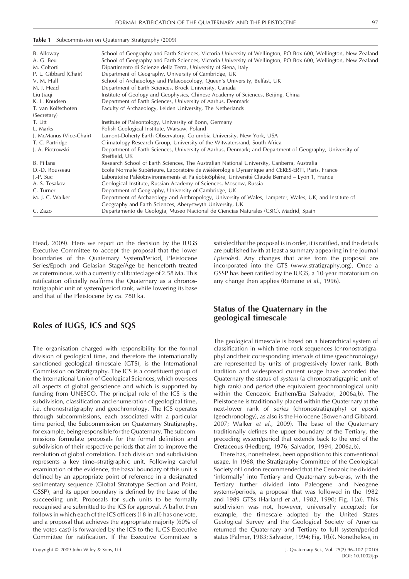Table 1 Subcommission on Quaternary Stratigraphy (2009)

| B. Alloway              | School of Geography and Earth Sciences, Victoria University of Wellington, PO Box 600, Wellington, New Zealand           |
|-------------------------|--------------------------------------------------------------------------------------------------------------------------|
| A. G. Beu               | School of Geography and Earth Sciences, Victoria University of Wellington, PO Box 600, Wellington, New Zealand           |
| M. Coltorti             | Dipartimento di Scienze della Terra, University of Siena, Italy                                                          |
| P. L. Gibbard (Chair)   | Department of Geography, University of Cambridge, UK                                                                     |
| V. M. Hall              | School of Archaeology and Palaeoecology, Queen's University, Belfast, UK                                                 |
| M. J. Head              | Department of Earth Sciences, Brock University, Canada                                                                   |
| Liu Jiagi               | Institute of Geology and Geophysics, Chinese Academy of Sciences, Beijing, China                                         |
| K. L. Knudsen           | Department of Earth Sciences, University of Aarhus, Denmark                                                              |
| T. van Kolfschoten      | Faculty of Archaeology, Leiden University, The Netherlands                                                               |
| (Secretary)             |                                                                                                                          |
| T. Litt                 | Institute of Paleontology, University of Bonn, Germany                                                                   |
| L. Marks                | Polish Geological Institute, Warsaw, Poland                                                                              |
| J. McManus (Vice-Chair) | Lamont-Doherty Earth Observatory, Columbia University, New York, USA                                                     |
| T. C. Partridge         | Climatology Research Group, University of the Witwatersrand, South Africa                                                |
| J. A. Piotrowski        | Department of Earth Sciences, University of Aarhus, Denmark; and Department of Geography, University of<br>Sheffield, UK |
| <b>B.</b> Pillans       | Research School of Earth Sciences, The Australian National University, Canberra, Australia                               |
| D.-D. Rousseau          | Ecole Normale Supérieure, Laboratoire de Météorologie Dynamique and CERES-ERTI, Paris, France                            |
| $I.-P.$ Suc             | Laboratoire PaléoEnvironnements et PaléobioSphère, Université Claude Bernard – Lyon 1, France                            |
| A. S. Tesakov           | Geological Institute, Russian Academy of Sciences, Moscow, Russia                                                        |
| C. Turner               | Department of Geography, University of Cambridge, UK                                                                     |
| M. J. C. Walker         | Department of Archaeology and Anthropology, University of Wales, Lampeter, Wales, UK; and Institute of                   |
|                         | Geography and Earth Sciences, Aberystwyth University, UK                                                                 |
| C. Zazo                 | Departamento de Geología, Museo Nacional de Ciencias Naturales (CSIC), Madrid, Spain                                     |

Head, 2009). Here we report on the decision by the IUGS Executive Committee to accept the proposal that the lower boundaries of the Quaternary System/Period, Pleistocene Series/Epoch and Gelasian Stage/Age be henceforth treated as coterminous, with a currently calibrated age of 2.58 Ma. This ratification officially reaffirms the Quaternary as a chronostratigraphic unit of system/period rank, while lowering its base and that of the Pleistocene by ca. 780 ka.

## Roles of IUGS, ICS and SQS

The organisation charged with responsibility for the formal division of geological time, and therefore the internationally sanctioned geological timescale (GTS), is the International Commission on Stratigraphy. The ICS is a constituent group of the International Union of Geological Sciences, which oversees all aspects of global geoscience and which is supported by funding from UNESCO. The principal role of the ICS is the subdivision, classification and enumeration of geological time, i.e. chronostratigraphy and geochronology. The ICS operates through subcommissions, each associated with a particular time period, the Subcommission on Quaternary Stratigraphy, for example, being responsible for the Quaternary. The subcommissions formulate proposals for the formal definition and subdivision of their respective periods that aim to improve the resolution of global correlation. Each division and subdivision represents a key time–stratigraphic unit. Following careful examination of the evidence, the basal boundary of this unit is defined by an appropriate point of reference in a designated sedimentary sequence (Global Stratotype Section and Point, GSSP), and its upper boundary is defined by the base of the succeeding unit. Proposals for such units to be formally recognised are submitted to the ICS for approval. A ballot then follows in which each of the ICS officers (18 in all) has one vote, and a proposal that achieves the appropriate majority (60% of the votes cast) is forwarded by the ICS to the IUGS Executive Committee for ratification. If the Executive Committee is

satisfied that the proposal is in order, it is ratified, and the details are published (with at least a summary appearing in the journal Episodes). Any changes that arise from the proposal are incorporated into the GTS (www.stratigraphy.org). Once a GSSP has been ratified by the IUGS, a 10-year moratorium on any change then applies (Remane et al., 1996).

## Status of the Quaternary in the geological timescale

The geological timescale is based on a hierarchical system of classification in which time–rock sequences (chronostratigraphy) and their corresponding intervals of time (geochronology) are represented by units of progressively lower rank. Both tradition and widespread current usage have accorded the Quaternary the status of system (a chronostratigraphic unit of high rank) and *period* (the equivalent geochronological unit) within the Cenozoic Erathem/Era (Salvador, 2006a,b). The Pleistocene is traditionally placed within the Quaternary at the next-lower rank of series (chronostratigraphy) or epoch (geochronology), as also is the Holocene (Bowen and Gibbard, 2007; Walker et al., 2009). The base of the Quaternary traditionally defines the upper boundary of the Tertiary, the preceding system/period that extends back to the end of the Cretaceous (Hedberg, 1976; Salvador, 1994, 2006a,b).

There has, nonetheless, been opposition to this conventional usage. In 1968, the Stratigraphy Committee of the Geological Society of London recommended that the Cenozoic be divided 'informally' into Tertiary and Quaternary sub-eras, with the Tertiary further divided into Paleogene and Neogene systems/periods, a proposal that was followed in the 1982 and 1989 GTSs (Harland et al., 1982, 1990; Fig. 1(a)). This subdivision was not, however, universally accepted; for example, the timescale adopted by the United States Geological Survey and the Geological Society of America returned the Quaternary and Tertiary to full system/period status (Palmer, 1983; Salvador, 1994; Fig. 1(b)). Nonetheless, in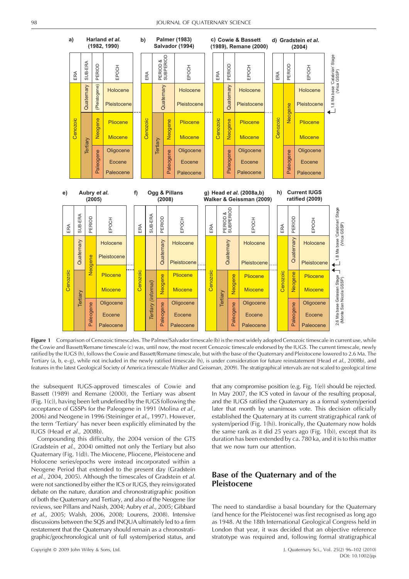

Figure 1 Comparison of Cenozoic timescales. The Palmer/Salvador timescale (b) is the most widely adopted Cenozoic timescale in current use, while the Cowie and Bassett/Remane timescale (c) was, until now, the most recent Cenozoic timescale endorsed by the IUGS. The current timescale, newly ratified by the IUGS (h), follows the Cowie and Bassett/Remane timescale, but with the base of the Quaternary and Pleistocene lowered to 2.6 Ma. The Tertiary (a, b, e–g), while not included in the newly ratified timescale (h), is under consideration for future reinstatement (Head et al., 2008b), and features in the latest Geological Society of America timescale (Walker and Geissman, 2009). The stratigraphical intervals are not scaled to geological time

the subsequent IUGS-approved timescales of Cowie and Bassett (1989) and Remane (2000), the Tertiary was absent (Fig. 1(c)), having been left undefined by the IUGS following the acceptance of GSSPs for the Paleogene in 1991 (Molina et al., 2006) and Neogene in 1996 (Steininger et al., 1997). However, the term 'Tertiary' has never been explicitly eliminated by the IUGS (Head et al., 2008b).

Compounding this difficulty, the 2004 version of the GTS (Gradstein et al., 2004) omitted not only the Tertiary but also Quaternary (Fig. 1(d)). The Miocene, Pliocene, Pleistocene and Holocene series/epochs were instead incorporated within a Neogene Period that extended to the present day (Gradstein et al., 2004, 2005). Although the timescales of Gradstein et al. were not sanctioned by either the ICS or IUGS, they reinvigorated debate on the nature, duration and chronostratigraphic position of both the Quaternary and Tertiary, and also of the Neogene (for reviews, see Pillans and Naish, 2004; Aubry et al., 2005; Gibbard et al., 2005; Walsh, 2006, 2008; Lourens, 2008). Intensive discussions between the SQS and INQUA ultimately led to a firm restatement that the Quaternary should remain as a chronostratigraphic/geochronological unit of full system/period status, and that any compromise position (e.g. Fig. 1(e)) should be rejected. In May 2007, the ICS voted in favour of the resulting proposal, and the IUGS ratified the Quaternary as a formal system/period later that month by unanimous vote. This decision officially established the Quaternary at its current stratigraphical rank of system/period (Fig. 1(h)). Ironically, the Quaternary now holds the same rank as it did 25 years ago (Fig. 1(b)), except that its duration has been extended by ca. 780 ka, and it is to this matter that we now turn our attention.

## Base of the Quaternary and of the Pleistocene

The need to standardise a basal boundary for the Quaternary (and hence for the Pleistocene) was first recognised as long ago as 1948. At the 18th International Geological Congress held in London that year, it was decided that an objective reference stratotype was required and, following formal stratigraphical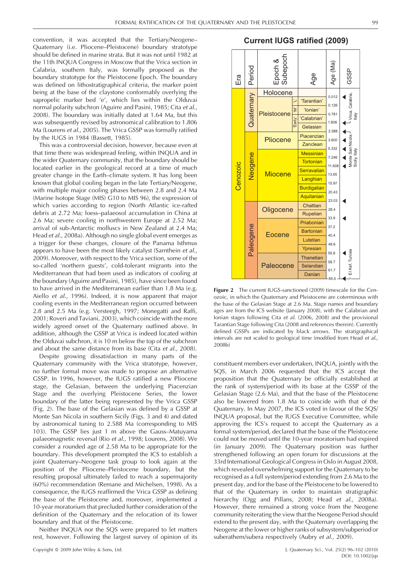convention, it was accepted that the Tertiary/Neogene– Quaternary (i.e. Pliocene–Pleistocene) boundary stratotype should be defined in marine strata. But it was not until 1982 at the 11th INQUA Congress in Moscow that the Vrica section in Calabria, southern Italy, was formally proposed as the boundary stratotype for the Pleistocene Epoch. The boundary was defined on lithostratigraphical criteria, the marker point being at the base of the claystone conformably overlying the sapropelic marker bed 'e', which lies within the Olduvai normal polarity subchron (Aguirre and Pasini, 1985; Cita et al., 2008). The boundary was initially dated at 1.64 Ma, but this was subsequently revised by astronomical calibration to 1.806 Ma (Lourens et al., 2005). The Vrica GSSP was formally ratified by the IUGS in 1984 (Bassett, 1985).

This was a controversial decision, however, because even at that time there was widespread feeling, within INQUA and in the wider Quaternary community, that the boundary should be located earlier in the geological record at a time of much greater change in the Earth–climate system. It has long been known that global cooling began in the late Tertiary/Neogene, with multiple major cooling phases between 2.8 and 2.4 Ma (Marine Isotope Stage (MIS) G10 to MIS 96), the expression of which varies according to region (North Atlantic ice-rafted debris at 2.72 Ma; loess–palaeosol accumulation in China at 2.6 Ma; severe cooling in northwestern Europe at 2.52 Ma; arrival of sub-Antarctic molluscs in New Zealand at 2.4 Ma; Head et al., 2008a). Although no single global event emerges as a trigger for these changes, closure of the Panama Isthmus appears to have been the most likely catalyst (Sarnthein et al., 2009). Moreover, with respect to the Vrica section, some of the so-called 'northern guests', cold-tolerant migrants into the Mediterranean that had been used as indicators of cooling at the boundary (Aguirre and Pasini, 1985), have since been found to have arrived in the Mediterranean earlier than 1.8 Ma (e.g. Aiello et al., 1996). Indeed, it is now apparent that major cooling events in the Mediterranean region occurred between 2.8 and 2.5 Ma (e.g. Versteegh, 1997; Monegatti and Raffi, 2001; Roveri and Taviani, 2003), which coincide with the more widely agreed onset of the Quaternary outlined above. In addition, although the GSSP at Vrica is indeed located within the Olduvai subchron, it is 10 m below the top of the subchron and about the same distance from its base (Cita et al., 2008).

Despite growing dissatisfaction in many parts of the Quaternary community with the Vrica stratotype, however, no further formal move was made to propose an alternative GSSP. In 1996, however, the IUGS ratified a new Pliocene stage, the Gelasian, between the underlying Piacenzian Stage and the overlying Pleistocene Series, the lower boundary of the latter being represented by the Vrica GSSP (Fig. 2). The base of the Gelasian was defined by a GSSP at Monte San Nicola in southern Sicily (Figs. 3 and 4) and dated by astronomical tuning to 2.588 Ma (corresponding to MIS 103). The GSSP lies just 1 m above the Gauss–Matuyama palaeomagnetic reversal (Rio et al., 1998; Lourens, 2008). We consider a rounded age of 2.58 Ma to be appropriate for the boundary. This development prompted the ICS to establish a joint Quaternary–Neogene task group to look again at the position of the Pliocene–Pleistocene boundary, but the resulting proposal ultimately failed to reach a supermajority (60%) recommendation (Remane and Michelsen, 1998). As a consequence, the IUGS reaffirmed the Vrica GSSP as defining the base of the Pleistocene and, moreover, implemented a 10-year moratorium that precluded further consideration of the definition of the Quaternary and the relocation of its lower boundary and that of the Pleistocene.

Neither INQUA nor the SQS were prepared to let matters rest, however. Following the largest survey of opinion of its

#### **Current IUGS ratified (2009)**



Figure 2 The current IUGS-sanctioned (2009) timescale for the Cenozoic, in which the Quaternary and Pleistocene are coterminous with the base of the Gelasian Stage at 2.6 Ma. Stage names and boundary ages are from the ICS website (January 2008), with the Calabrian and Ionian stages following Cita et al. (2006, 2008) and the provisional Tarantian Stage following Cita (2008 and references therein). Currently defined GSSPs are indicated by black arrows. The stratigraphical intervals are not scaled to geological time (modified from Head et al., 2008b)

constituent members ever undertaken, INQUA, jointly with the SQS, in March 2006 requested that the ICS accept the proposition that the Quaternary be officially established at the rank of system/period with its base at the GSSP of the Gelasian Stage (2.6 Ma), and that the base of the Pleistocene also be lowered from 1.8 Ma to coincide with that of the Quaternary. In May 2007, the ICS voted in favour of the SQS/ INQUA proposal, but the IUGS Executive Committee, while approving the ICS's request to accept the Quaternary as a formal system/period, declared that the base of the Pleistocene could not be moved until the 10-year moratorium had expired (in January 2009). The Quaternary position was further strengthened following an open forum for discussions at the 33rd International Geological Congress in Oslo in August 2008, which revealed overwhelming support for the Quaternary to be recognised as a full system/period extending from 2.6 Ma to the present day, and for the base of the Pleistocene to be lowered to that of the Quaternary in order to maintain stratigraphic hierarchy (Ogg and Pillans, 2008; Head et al., 2008a). However, there remained a strong voice from the Neogene community reiterating the view that the Neogene Period should extend to the present day, with the Quaternary overlapping the Neogene at the lower or higher ranks of subsystem/subperiod or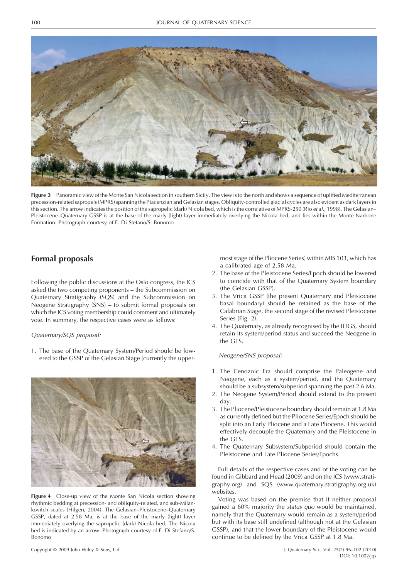

Figure 3 Panoramic view of the Monte San Nicola section in southern Sicily. The view is to the north and shows a sequence of uplifted Mediterranean precession-related sapropels (MPRS) spanning the Piacenzian and Gelasian stages. Obliquity-controlled glacial cycles are also evident as dark layers in this section. The arrow indicates the position of the sapropelic (dark) Nicola bed, which is the correlative of MPRS-250 (Rio et al., 1998). The Gelasian– Pleistocene–Quaternary GSSP is at the base of the marly (light) layer immediately overlying the Nicola bed, and lies within the Monte Narbone Formation. Photograph courtesy of E. Di Stefano/S. Bonomo

# Formal proposals

Following the public discussions at the Oslo congress, the ICS asked the two competing proponents – the Subcommission on Quaternary Stratigraphy (SQS) and the Subcommission on Neogene Stratigraphy (SNS) – to submit formal proposals on which the ICS voting membership could comment and ultimately vote. In summary, the respective cases were as follows:

#### Quaternary/SQS proposal:

1. The base of the Quaternary System/Period should be lowered to the GSSP of the Gelasian Stage (currently the upper-



Figure 4 Close-up view of the Monte San Nicola section showing rhythmic bedding at precession- and obliquity-related, and sub-Milankovitch scales (Hilgen, 2004). The Gelasian–Pleistocene–Quaternary GSSP, dated at 2.58 Ma, is at the base of the marly (light) layer immediately overlying the sapropelic (dark) Nicola bed. The Nicola bed is indicated by an arrow. Photograph courtesy of E. Di Stefano/S. Bonomo

most stage of the Pliocene Series) within MIS 103, which has a calibrated age of 2.58 Ma.

- 2. The base of the Pleistocene Series/Epoch should be lowered to coincide with that of the Quaternary System boundary (the Gelasian GSSP).
- 3. The Vrica GSSP (the present Quaternary and Pleistocene basal boundary) should be retained as the base of the Calabrian Stage, the second stage of the revised Pleistocene Series (Fig. 2).
- 4. The Quaternary, as already recognised by the IUGS, should retain its system/period status and succeed the Neogene in the GTS.

#### Neogene/SNS proposal:

- 1. The Cenozoic Era should comprise the Paleogene and Neogene, each as a system/period, and the Quaternary should be a subsystem/subperiod spanning the past 2.6 Ma.
- 2. The Neogene System/Period should extend to the present day.
- 3. The Pliocene/Pleistocene boundary should remain at 1.8 Ma as currently defined but the Pliocene Series/Epoch should be split into an Early Pliocene and a Late Pliocene. This would effectively decouple the Quaternary and the Pleistocene in the GTS.
- 4. The Quaternary Subsystem/Subperiod should contain the Pleistocene and Late Pliocene Series/Epochs.

Full details of the respective cases and of the voting can be found in Gibbard and Head (2009) and on the ICS (www.stratigraphy.org) and SQS (www.quaternary.stratigraphy.org.uk) websites.

Voting was based on the premise that if neither proposal gained a 60% majority the status quo would be maintained, namely that the Quaternary would remain as a system/period but with its base still undefined (although not at the Gelasian GSSP), and that the lower boundary of the Pleistocene would continue to be defined by the Vrica GSSP at 1.8 Ma.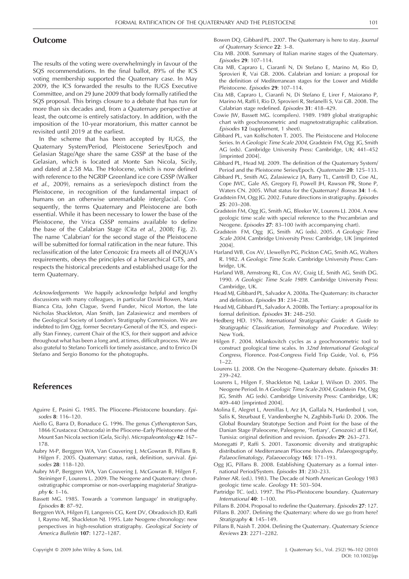# **Outcome**

The results of the voting were overwhelmingly in favour of the SQS recommendations. In the final ballot, 89% of the ICS voting membership supported the Quaternary case. In May 2009, the ICS forwarded the results to the IUGS Executive Committee, and on 29 June 2009 that body formally ratified the SQS proposal. This brings closure to a debate that has run for more than six decades and, from a Quaternary perspective at least, the outcome is entirely satisfactory. In addition, with the imposition of the 10-year moratorium, this matter cannot be revisited until 2019 at the earliest.

In the scheme that has been accepted by IUGS, the Quaternary System/Period, Pleistocene Series/Epoch and Gelasian Stage/Age share the same GSSP at the base of the Gelasian, which is located at Monte San Nicola, Sicily, and dated at 2.58 Ma. The Holocene, which is now defined with reference to the NGRIP Greenland ice core GSSP (Walker et al., 2009), remains as a series/epoch distinct from the Pleistocene, in recognition of the fundamental impact of humans on an otherwise unremarkable interglacial. Consequently, the terms Quaternary and Pleistocene are both essential. While it has been necessary to lower the base of the Pleistocene, the Vrica GSSP remains available to define the base of the Calabrian Stage (Cita et al., 2008; Fig. 2). The name 'Calabrian' for the second stage of the Pleistocene will be submitted for formal ratification in the near future. This reclassification of the later Cenozoic Era meets all of INQUA's requirements, obeys the principles of a hierarchical GTS, and respects the historical precedents and established usage for the term Quaternary.

Acknowledgements We happily acknowledge helpful and lengthy discussions with many colleagues, in particular David Bowen, Maria Bianca Cita, John Clague, Svend Funder, Nicol Morton, the late Nicholas Shackleton, Alan Smith, Jan Zalasiewicz and members of the Geological Society of London's Stratigraphy Commission. We are indebted to Jim Ogg, former Secretary-General of the ICS, and especially Stan Finney, current Chair of the ICS, for their support and advice throughout what has been a long and, at times, difficult process. We are also grateful to Stefano Torricelli for timely assistance, and to Enrico Di Stefano and Sergio Bonomo for the photographs.

# References

- Aguirre E, Pasini G. 1985. The Pliocene–Pleistocene boundary. Episodes 8: 116–120.
- Aiello G, Barra D, Bonaduce G. 1996. The genus Cytheropteron Sars, 1866 (Crustacea: Ostracoda) in the Pliocene–Early Pleistocene of the Mount San Nicola section (Gela, Sicily). Micropaleontology 42: 167– 178.
- Aubry M-P, Berggren WA, Van Couvering J, McGowran B, Pillans B, Hilgen F. 2005. Quaternary: status, rank, definition, survival. Episodes 28: 118–120.
- Aubry M-P, Berggren WA, Van Couvering J, McGowran B, Hilgen F, Steininger F, Lourens L. 2009. The Neogene and Quaternary: chronostratigraphic compromise or non-overlapping magisteria? Stratigraphy 6: 1–16.
- Bassett MG. 1985. Towards a 'common language' in stratigraphy. Episodes 8: 87–92.
- Berggren WA, Hilgen FJ, Langereis CG, Kent DV, Obradovich JD, Raffi I, Raymo ME, Shackleton NJ. 1995. Late Neogene chronology: new perspectives in high-resolution stratigraphy. Geological Society of America Bulletin 107: 1272–1287.
- Bowen DQ, Gibbard PL. 2007. The Quaternary is here to stay. Journal of Quaternary Science 22: 3–8.
- Cita MB. 2008. Summary of Italian marine stages of the Quaternary. Episodes 29: 107–114.
- Cita MB, Capraro L, Ciaranfi N, Di Stefano E, Marino M, Rio D, Sprovieri R, Vai GB. 2006. Calabrian and Ionian: a proposal for the definition of Mediterranean stages for the Lower and Middle Pleistocene. Episodes 29: 107–114.
- Cita MB, Capraro L, Ciaranfi N, Di Stefano E, Lirer F, Maiorano P, Marino M, Raffi I, Rio D, Sprovieri R, Stefanelli S, Vai GB. 2008. The Calabrian stage redefined. Episodes 31: 418–429.
- Cowie JW, Bassett MG. (compilers). 1989. 1989 global stratigraphic chart with geochronometric and magnetostratigraphic calibration. Episodes 12 (supplement, 1 sheet).
- Gibbard PL, van Kolfschoten T. 2005. The Pleistocene and Holocene Series. In A Geologic Time Scale 2004, Gradstein FM, Ogg JG, Smith AG (eds). Cambridge University Press: Cambridge, UK; 441–452 [imprinted 2004].
- Gibbard PL, Head MJ. 2009. The definition of the Quaternary System/ Period and the Pleistocene Series/Epoch. Quaternaire 20: 125–133.
- Gibbard PL, Smith AG, Zalasiewicz JA, Barry TL, Cantrill D, Coe AL, Cope JWC, Gale AS, Gregory FJ, Powell JH, Rawson PR, Stone P, Waters CN. 2005. What status for the Quaternary? Boreas 34: 1–6.
- Gradstein FM, Ogg JG. 2002. Future directions in stratigraphy. Episodes 25: 203–208.
- Gradstein FM, Ogg JG, Smith AG, Bleeker W, Lourens LJ. 2004. A new geologic time scale with special reference to the Precambrian and Neogene. Episodes 27: 83–100 (with accompanying chart).
- Gradstein FM, Ogg JG, Smith AG (eds). 2005. A Geologic Time Scale 2004. Cambridge University Press: Cambridge, UK [imprinted 2004].
- Harland WB, Cox AV, Llewellyn PG, Pickton CAG, Smith AG, Walters R. 1982. A Geologic Time Scale. Cambridge University Press: Cambridge, UK.
- Harland WB, Armstrong RL, Cox AV, Craig LE, Smith AG, Smith DG. 1990. A Geologic Time Scale 1989. Cambridge University Press: Cambridge, UK.
- Head MJ, Gibbard PL, Salvador A. 2008a. The Quaternary: its character and definition. Episodes 31: 234–238.
- Head MJ, Gibbard PL, Salvador A. 2008b. The Tertiary: a proposal for its formal definition. Episodes 31: 248–250.
- Hedberg HD. 1976. International Stratigraphic Guide: A Guide to Stratigraphic Classification, Terminology and Procedure. Wiley: New York.
- Hilgen F. 2004. Milankovitch cycles as a geochronometric tool to construct geological time scales. In 32nd International Geological Congress, Florence. Post-Congress Field Trip Guide, Vol. 6, P56 1–22.
- Lourens LJ. 2008. On the Neogene–Quaternary debate. Episodes 31: 239–242.
- Lourens L, Hilgen F, Shackleton NJ, Laskar J, Wilson D. 2005. The Neogene Period. In A Geologic Time Scale 2004, Gradstein FM, Ogg JG, Smith AG (eds). Cambridge University Press: Cambridge, UK; 409–440 [imprinted 2004].
- Molina E, Alegret L, Arenillas I, Arz JA, Gallala N, Hardenbol J, von, Salis K, Steurbaut E, Vandenberghe N, Zaghbib-Turki D. 2006. The Global Boundary Stratotype Section and Point for the base of the Danian Stage (Paleocene, Paleogene, 'Tertiary', Cenozoic) at El Kef, Tunisia: original definition and revision. Episodes 29: 263–273.
- Monegatti P, Raffi S. 2001. Taxonomic diversity and stratigraphic distribution of Mediterranean Pliocene bivalves. Palaeogeography, Palaeoclimatology, Palaeoecology 165: 171–193.
- Ogg JG, Pillans B. 2008. Establishing Quaternary as a formal international Period/System. Episodes 31: 230–233.
- Palmer AR. (ed.). 1983. The Decade of North American Geology 1983
- geologic time scale. Geology 11: 503–504. Partridge TC. (ed.). 1997. The Plio-Pleistocene boundary. Quaternary International 40: 1–100.
- Pillans B. 2004. Proposal to redefine the Quaternary. Episodes 27: 127.
- Pillans B. 2007. Defining the Quaternary: where do we go from here?
- Stratigraphy 4: 145-149.
- Pillans B, Naish T. 2004. Defining the Quaternary. Quaternary Science Reviews 23: 2271–2282.